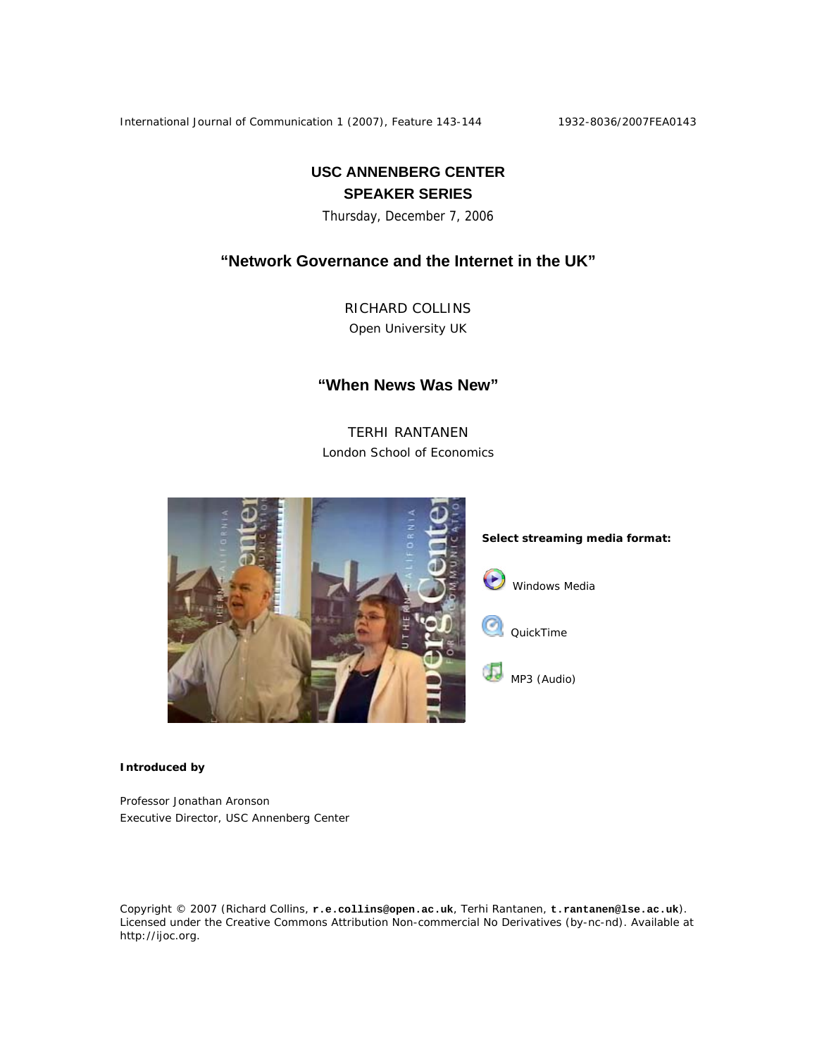International Journal of Communication 1 (2007), Feature 143-144 1932-8036/2007FEA0143

# **USC ANNENBERG CENTER SPEAKER SERIES**

Thursday, December 7, 2006

## **"Network Governance and the Internet in the UK"**

RICHARD COLLINS Open University UK

### **"When News Was New"**

TERHI RANTANEN London School of Economics



#### **Introduced by**

Professor Jonathan Aronson Executive Director, USC Annenberg Center

Copyright © 2007 (Richard Collins, **r.e.collins@open.ac.uk**, Terhi Rantanen, **t.rantanen@lse.ac.uk**). Licensed under the Creative Commons Attribution Non-commercial No Derivatives (by-nc-nd). Available at http://ijoc.org.